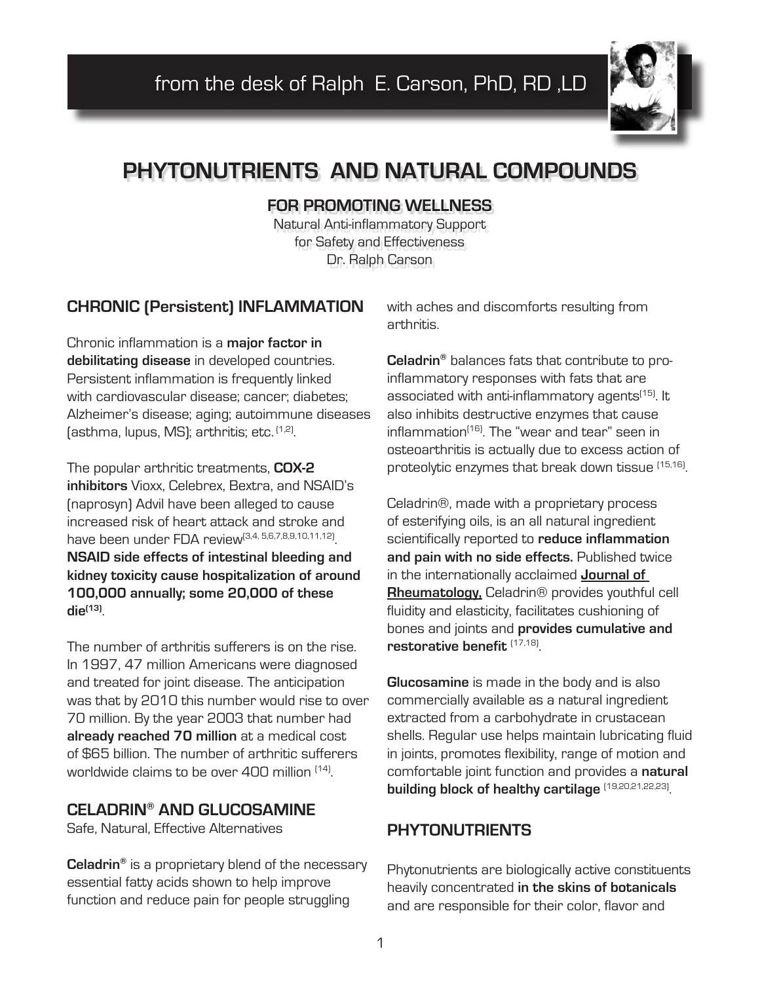

# **PHYTONUTRIENTS AND NATURAL COMPOUNDS**

#### **FOR PROMOTING WELLNESS**

Natural Anti-inflammatory Support for Safety and Effectiveness Dr. Ralph Carson

## **CHRONIC (Persistent) INFLAMMATION**

Chronic inflammation is a **major factor in debilitating disease** in developed countries. Persistent inflammation is frequently linked with cardiovascular disease; cancer; diabetes; Alzheimer's disease; aging; autoimmune diseases (asthma, lupus, MS); arthritis; etc. (1,2).

The popular arthritic treatments, **COX-2 inhibitors** Vioxx, Celebrex, Bextra, and NSAID's (naprosyn) Advil have been alleged to cause increased risk of heart attack and stroke and have been under FDA review<sup>(3,4, 5,6,7,8,9,10,11,12)</sup>. **NSAID side effects of intestinal bleeding and kidney toxicity cause hospitalization of around 100,000 annually; some 20,000 of these die(13)**.

The number of arthritis sufferers is on the rise. In 1997, 47 million Americans were diagnosed and treated for joint disease. The anticipation was that by 2010 this number would rise to over 70 million. By the year 2003 that number had **already reached 70 million** at a medical cost of \$65 billion. The number of arthritic sufferers worldwide claims to be over 400 million <sup>(14)</sup>

#### **CELADRIN® AND GLUCOSAMINE**

Safe, Natural, Effective Alternatives

**Celadrin®** is a proprietary blend of the necessary essential fatty acids shown to help improve function and reduce pain for people struggling

with aches and discomforts resulting from arthritis.

**Celadrin®** balances fats that contribute to proinflammatory responses with fats that are associated with anti-inflammatory agents<sup>(15)</sup>. It also inhibits destructive enzymes that cause inflammation<sup>(16)</sup>. The "wear and tear" seen in osteoarthritis is actually due to excess action of proteolytic enzymes that break down tissue (15,16).

Celadrin®, made with a proprietary process of esterifying oils, is an all natural ingredient scientifically reported to **reduce inflammation and pain with no side effects.** Published twice in the internationally acclaimed **Journal of Rheumatology,** Celadrin® provides youthful cell fluidity and elasticity, facilitates cushioning of bones and joints and **provides cumulative and restorative benefit** (17,18).

**Glucosamine** is made in the body and is also commercially available as a natural ingredient extracted from a carbohydrate in crustacean shells. Regular use helps maintain lubricating fluid in joints, promotes flexibility, range of motion and comfortable joint function and provides a **natural building block of healthy cartilage** (19,20,21,22,23).

## **PHYTONUTRIENTS**

Phytonutrients are biologically active constituents heavily concentrated **in the skins of botanicals** and are responsible for their color, flavor and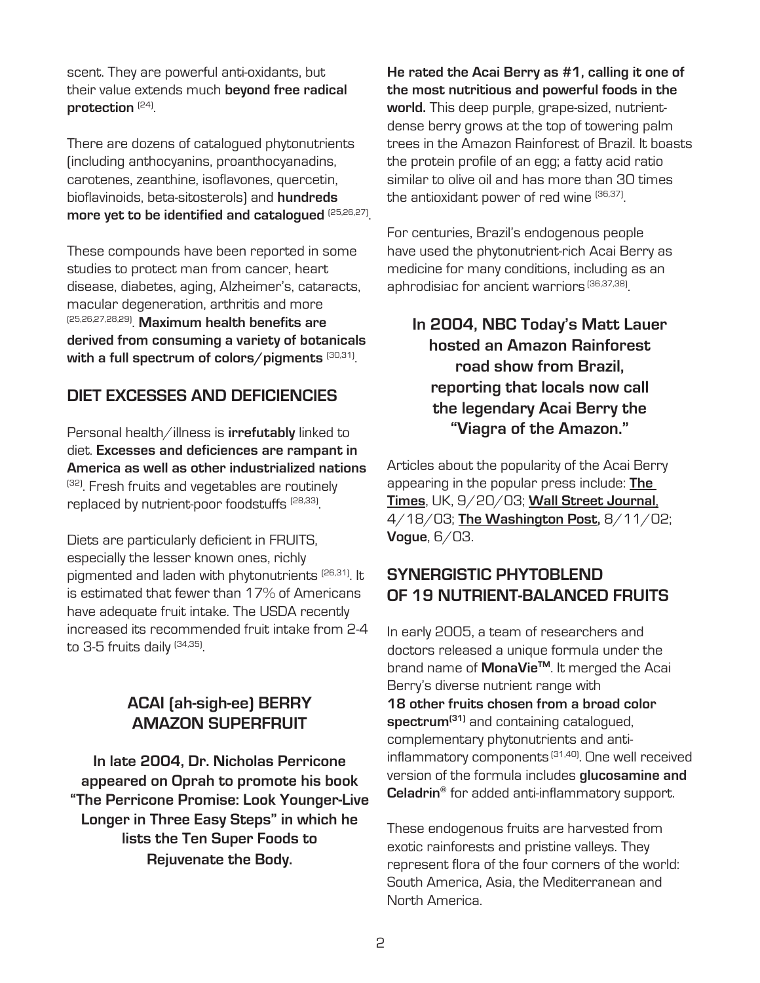scent. They are powerful anti-oxidants, but their value extends much **beyond free radical protection** (24).

There are dozens of catalogued phytonutrients (including anthocyanins, proanthocyanadins, carotenes, zeanthine, isoflavones, quercetin, bioflavinoids, beta-sitosterols) and **hundreds more yet to be identified and catalogued** (25,26,27).

These compounds have been reported in some studies to protect man from cancer, heart disease, diabetes, aging, Alzheimer's, cataracts, macular degeneration, arthritis and more (25,26,27,28,29). **Maximum health benefits are derived from consuming a variety of botanicals**  with a full spectrum of colors/pigments<sup>(30,31)</sup>.

## **DIET EXCESSES AND DEFICIENCIES**

Personal health/illness is **irrefutably** linked to diet. **Excesses and deficiences are rampant in America as well as other industrialized nations** <sup>(32)</sup>. Fresh fruits and vegetables are routinely replaced by nutrient-poor foodstuffs <sup>(28,33)</sup>.

Diets are particularly deficient in FRUITS, especially the lesser known ones, richly pigmented and laden with phytonutrients (26,31). It is estimated that fewer than 17% of Americans have adequate fruit intake. The USDA recently increased its recommended fruit intake from 2-4 to 3-5 fruits daily (34,35)

# **ACAI (ah-sigh-ee) BERRY AMAZON SUPERFRUIT**

**In late 2004, Dr. Nicholas Perricone appeared on Oprah to promote his book "The Perricone Promise: Look Younger-Live Longer in Three Easy Steps" in which he lists the Ten Super Foods to Rejuvenate the Body.**

**He rated the Acai Berry as #1, calling it one of the most nutritious and powerful foods in the world.** This deep purple, grape-sized, nutrientdense berry grows at the top of towering palm trees in the Amazon Rainforest of Brazil. It boasts the protein profile of an egg; a fatty acid ratio similar to olive oil and has more than 30 times the antioxidant power of red wine <sup>(36,37)</sup>.

For centuries, Brazil's endogenous people have used the phytonutrient-rich Acai Berry as medicine for many conditions, including as an aphrodisiac for ancient warriors (36,37,38).

**In 2004, NBC Today's Matt Lauer hosted an Amazon Rainforest road show from Brazil, reporting that locals now call the legendary Acai Berry the "Viagra of the Amazon."**

Articles about the popularity of the Acai Berry appearing in the popular press include: **The Times**, UK, 9/20/03; **Wall Street Journal**, 4/18/03; **The Washington Post,** 8/11/02; **Vogue**, 6/03.

## **SYNERGISTIC PHYTOBLEND OF 19 NUTRIENT-BALANCED FRUITS**

In early 2005, a team of researchers and doctors released a unique formula under the brand name of **MonaVieTM**. It merged the Acai Berry's diverse nutrient range with **18 other fruits chosen from a broad color spectrum(31)** and containing catalogued, complementary phytonutrients and antiinflammatory components<sup>(31,40)</sup>. One well received version of the formula includes **glucosamine and Celadrin®** for added anti-inflammatory support.

These endogenous fruits are harvested from exotic rainforests and pristine valleys. They represent flora of the four corners of the world: South America, Asia, the Mediterranean and North America.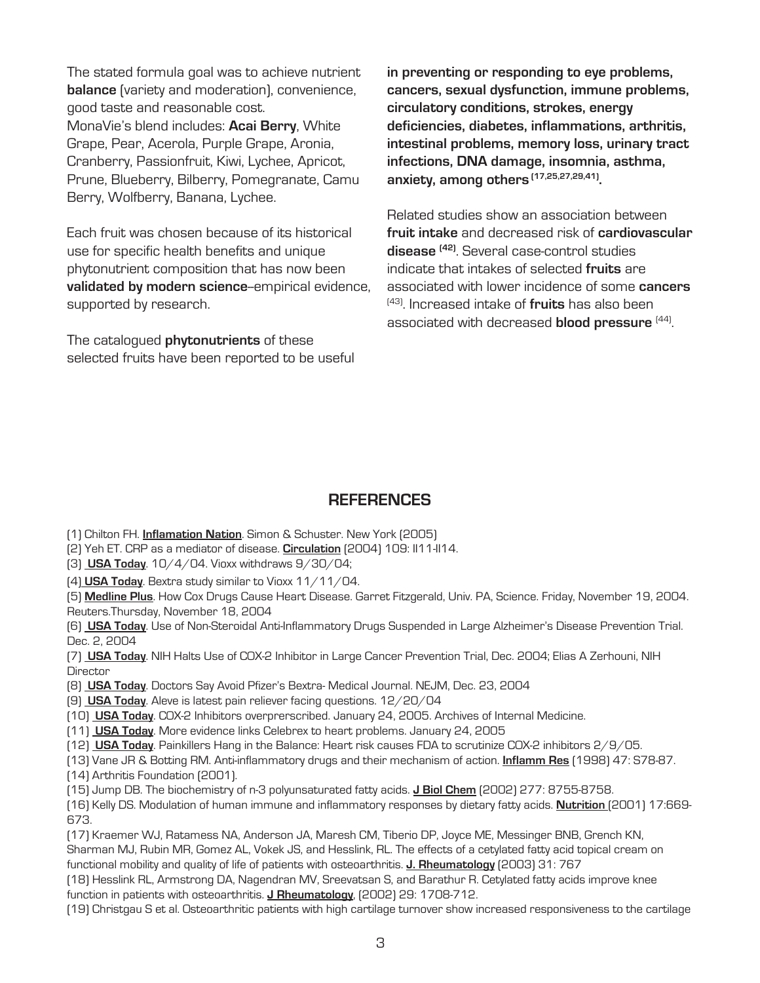The stated formula goal was to achieve nutrient **balance** (variety and moderation), convenience, good taste and reasonable cost. MonaVie's blend includes: **Acai Berry**, White Grape, Pear, Acerola, Purple Grape, Aronia, Cranberry, Passionfruit, Kiwi, Lychee, Apricot, Prune, Blueberry, Bilberry, Pomegranate, Camu Berry, Wolfberry, Banana, Lychee.

Each fruit was chosen because of its historical use for specific health benefits and unique phytonutrient composition that has now been validated by modern science-empirical evidence, supported by research.

The catalogued **phytonutrients** of these selected fruits have been reported to be useful **in preventing or responding to eye problems, cancers, sexual dysfunction, immune problems, circulatory conditions, strokes, energy deficiencies, diabetes, inflammations, arthritis, intestinal problems, memory loss, urinary tract infections, DNA damage, insomnia, asthma, anxiety, among others (17,25,27,29,41).**

Related studies show an association between **fruit intake** and decreased risk of **cardiovascular disease (42)**. Several case-control studies indicate that intakes of selected **fruits** are associated with lower incidence of some **cancers**  (43). Increased intake of **fruits** has also been associated with decreased **blood pressure** (44).

#### **REFERENCES**

- (1) Chilton FH. **Inflamation Nation**. Simon & Schuster. New York (2005)
- (2) Yeh ET. CRP as a mediator of disease. **Circulation** (2004) 109: II11-II14.
- (3) **USA Today**. 10/4/04. Vioxx withdraws 9/30/04;
- (4) **USA Today**. Bextra study similar to Vioxx 11/11/04.

(5) **Medline Plus**. How Cox Drugs Cause Heart Disease. Garret Fitzgerald, Univ. PA, Science. Friday, November 19, 2004. Reuters.Thursday, November 18, 2004

(6) **USA Today**. Use of Non-Steroidal Anti-Inflammatory Drugs Suspended in Large Alzheimer's Disease Prevention Trial. Dec. 2, 2004

(7) **USA Today**. NIH Halts Use of COX-2 Inhibitor in Large Cancer Prevention Trial, Dec. 2004; Elias A Zerhouni, NIH **Director** 

- (8) **USA Today**. Doctors Say Avoid Pfizer's Bextra- Medical Journal. NEJM, Dec. 23, 2004
- (9) **USA Today**. Aleve is latest pain reliever facing questions. 12/20/04
- (10) **USA Today**. COX-2 Inhibitors overprerscribed. January 24, 2005. Archives of Internal Medicine.
- (11) **USA Today**. More evidence links Celebrex to heart problems. January 24, 2005
- (12) **USA Today**. Painkillers Hang in the Balance: Heart risk causes FDA to scrutinize COX-2 inhibitors 2/9/05.

(13) Vane JR & Botting RM. Anti-inflammatory drugs and their mechanism of action. **Inflamm Res** (1998) 47: S78-87.

(14) Arthritis Foundation (2001).

(15) Jump DB. The biochemistry of n-3 polyunsaturated fatty acids. **J Biol Chem** (2002) 277: 8755-8758.

(16) Kelly DS. Modulation of human immune and inflammatory responses by dietary fatty acids. **Nutrition** (2001) 17:669- 673.

(17) Kraemer WJ, Ratamess NA, Anderson JA, Maresh CM, Tiberio DP, Joyce ME, Messinger BNB, Grench KN, Sharman MJ, Rubin MR, Gomez AL, Vokek JS, and Hesslink, RL. The effects of a cetylated fatty acid topical cream on functional mobility and quality of life of patients with osteoarthritis. **J. Rheumatology** (2003) 31: 767

(18) Hesslink RL, Armstrong DA, Nagendran MV, Sreevatsan S, and Barathur R. Cetylated fatty acids improve knee function in patients with osteoarthritis. **J Rheumatology**, (2002) 29: 1708-712.

(19) Christgau S et al. Osteoarthritic patients with high cartilage turnover show increased responsiveness to the cartilage